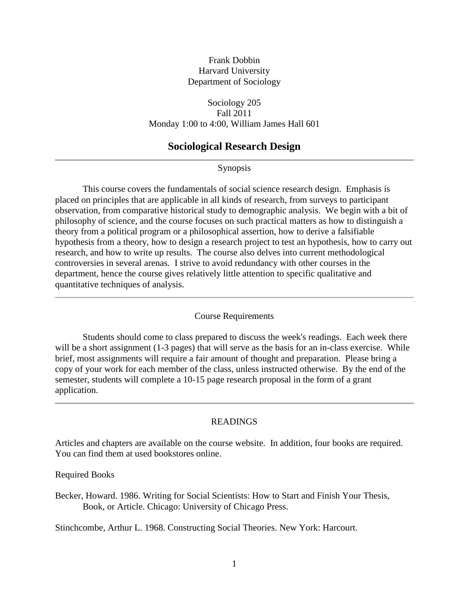# Frank Dobbin Harvard University Department of Sociology

Sociology 205 Fall 2011 Monday 1:00 to 4:00, William James Hall 601

# **Sociological Research Design**

Synopsis

This course covers the fundamentals of social science research design. Emphasis is placed on principles that are applicable in all kinds of research, from surveys to participant observation, from comparative historical study to demographic analysis. We begin with a bit of philosophy of science, and the course focuses on such practical matters as how to distinguish a theory from a political program or a philosophical assertion, how to derive a falsifiable hypothesis from a theory, how to design a research project to test an hypothesis, how to carry out research, and how to write up results. The course also delves into current methodological controversies in several arenas. I strive to avoid redundancy with other courses in the department, hence the course gives relatively little attention to specific qualitative and quantitative techniques of analysis.

#### Course Requirements

Students should come to class prepared to discuss the week's readings. Each week there will be a short assignment (1-3 pages) that will serve as the basis for an in-class exercise. While brief, most assignments will require a fair amount of thought and preparation. Please bring a copy of your work for each member of the class, unless instructed otherwise. By the end of the semester, students will complete a 10-15 page research proposal in the form of a grant application.

### READINGS

Articles and chapters are available on the course website. In addition, four books are required. You can find them at used bookstores online.

Required Books

Becker, Howard. 1986. Writing for Social Scientists: How to Start and Finish Your Thesis, Book, or Article. Chicago: University of Chicago Press.

Stinchcombe, Arthur L. 1968. Constructing Social Theories. New York: Harcourt.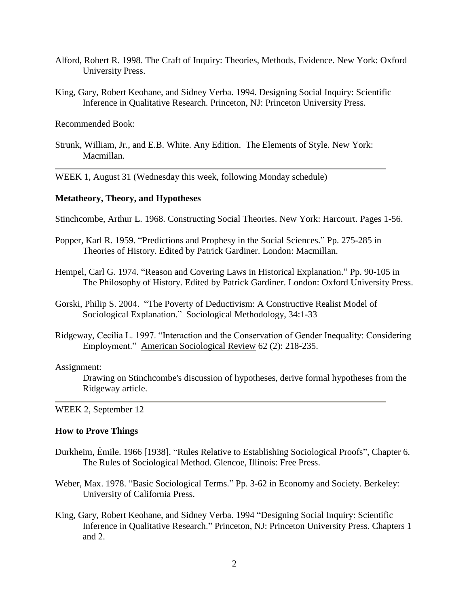- Alford, Robert R. 1998. The Craft of Inquiry: Theories, Methods, Evidence. New York: Oxford University Press.
- King, Gary, Robert Keohane, and Sidney Verba. 1994. Designing Social Inquiry: Scientific Inference in Qualitative Research. Princeton, NJ: Princeton University Press.

Recommended Book:

Strunk, William, Jr., and E.B. White. Any Edition. The Elements of Style. New York: Macmillan.

WEEK 1, August 31 (Wednesday this week, following Monday schedule)

### **Metatheory, Theory, and Hypotheses**

Stinchcombe, Arthur L. 1968. Constructing Social Theories. New York: Harcourt. Pages 1-56.

- Popper, Karl R. 1959. "Predictions and Prophesy in the Social Sciences." Pp. 275-285 in Theories of History. Edited by Patrick Gardiner. London: Macmillan.
- Hempel, Carl G. 1974. "Reason and Covering Laws in Historical Explanation." Pp. 90-105 in The Philosophy of History. Edited by Patrick Gardiner. London: Oxford University Press.
- Gorski, Philip S. 2004. "The Poverty of Deductivism: A Constructive Realist Model of Sociological Explanation." Sociological Methodology, 34:1-33
- Ridgeway, Cecilia L. 1997. "Interaction and the Conservation of Gender Inequality: Considering Employment." American Sociological Review 62 (2): 218-235.

#### Assignment:

Drawing on Stinchcombe's discussion of hypotheses, derive formal hypotheses from the Ridgeway article.

WEEK 2, September 12

### **How to Prove Things**

- Durkheim, Émile. 1966 [1938]. "Rules Relative to Establishing Sociological Proofs", Chapter 6. The Rules of Sociological Method. Glencoe, Illinois: Free Press.
- Weber, Max. 1978. "Basic Sociological Terms." Pp. 3-62 in Economy and Society. Berkeley: University of California Press.
- King, Gary, Robert Keohane, and Sidney Verba. 1994 "Designing Social Inquiry: Scientific Inference in Qualitative Research." Princeton, NJ: Princeton University Press. Chapters 1 and 2.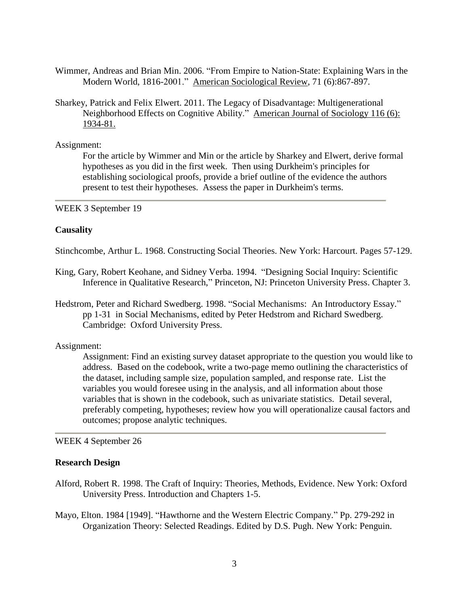- Wimmer, Andreas and Brian Min. 2006. "From Empire to Nation-State: Explaining Wars in the Modern World, 1816-2001." American Sociological Review, 71 (6):867-897.
- Sharkey, Patrick and Felix Elwert. 2011. The Legacy of Disadvantage: Multigenerational Neighborhood Effects on Cognitive Ability." American Journal of Sociology 116 (6): 1934-81.

Assignment:

For the article by Wimmer and Min or the article by Sharkey and Elwert, derive formal hypotheses as you did in the first week. Then using Durkheim's principles for establishing sociological proofs, provide a brief outline of the evidence the authors present to test their hypotheses. Assess the paper in Durkheim's terms.

WEEK 3 September 19

#### **Causality**

Stinchcombe, Arthur L. 1968. Constructing Social Theories. New York: Harcourt. Pages 57-129.

- King, Gary, Robert Keohane, and Sidney Verba. 1994. "Designing Social Inquiry: Scientific Inference in Qualitative Research," Princeton, NJ: Princeton University Press. Chapter 3.
- Hedstrom, Peter and Richard Swedberg. 1998. "Social Mechanisms: An Introductory Essay." pp 1-31 in Social Mechanisms, edited by Peter Hedstrom and Richard Swedberg. Cambridge: Oxford University Press.

### Assignment:

Assignment: Find an existing survey dataset appropriate to the question you would like to address. Based on the codebook, write a two-page memo outlining the characteristics of the dataset, including sample size, population sampled, and response rate. List the variables you would foresee using in the analysis, and all information about those variables that is shown in the codebook, such as univariate statistics. Detail several, preferably competing, hypotheses; review how you will operationalize causal factors and outcomes; propose analytic techniques.

WEEK 4 September 26

#### **Research Design**

- Alford, Robert R. 1998. The Craft of Inquiry: Theories, Methods, Evidence. New York: Oxford University Press. Introduction and Chapters 1-5.
- Mayo, Elton. 1984 [1949]. "Hawthorne and the Western Electric Company." Pp. 279-292 in Organization Theory: Selected Readings. Edited by D.S. Pugh. New York: Penguin.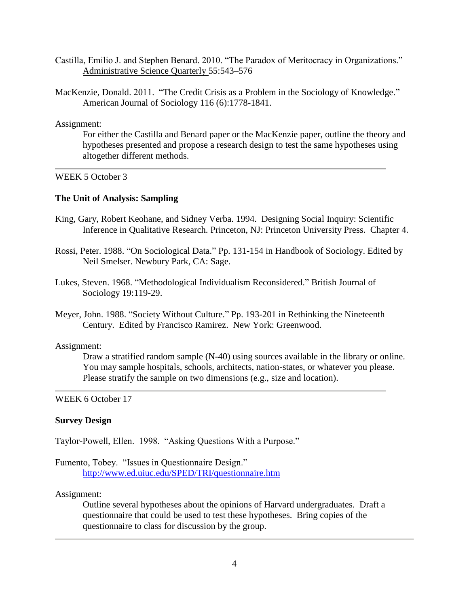- Castilla, Emilio J. and Stephen Benard. 2010. "The Paradox of Meritocracy in Organizations." Administrative Science Quarterly 55:543–576
- MacKenzie, Donald. 2011. "The Credit Crisis as a Problem in the Sociology of Knowledge." American Journal of Sociology 116 (6):1778-1841.

Assignment:

For either the Castilla and Benard paper or the MacKenzie paper, outline the theory and hypotheses presented and propose a research design to test the same hypotheses using altogether different methods.

# WEEK 5 October 3

### **The Unit of Analysis: Sampling**

- King, Gary, Robert Keohane, and Sidney Verba. 1994. Designing Social Inquiry: Scientific Inference in Qualitative Research. Princeton, NJ: Princeton University Press. Chapter 4.
- Rossi, Peter. 1988. "On Sociological Data." Pp. 131-154 in Handbook of Sociology. Edited by Neil Smelser. Newbury Park, CA: Sage.
- Lukes, Steven. 1968. "Methodological Individualism Reconsidered." British Journal of Sociology 19:119-29.
- Meyer, John. 1988. "Society Without Culture." Pp. 193-201 in Rethinking the Nineteenth Century. Edited by Francisco Ramirez. New York: Greenwood.

### Assignment:

Draw a stratified random sample (N-40) using sources available in the library or online. You may sample hospitals, schools, architects, nation-states, or whatever you please. Please stratify the sample on two dimensions (e.g., size and location).

# WEEK 6 October 17

# **Survey Design**

Taylor-Powell, Ellen. 1998. "Asking Questions With a Purpose."

```
Fumento, Tobey. "Issues in Questionnaire Design." 
http://www.ed.uiuc.edu/SPED/TRI/questionnaire.htm
```
### Assignment:

Outline several hypotheses about the opinions of Harvard undergraduates. Draft a questionnaire that could be used to test these hypotheses. Bring copies of the questionnaire to class for discussion by the group.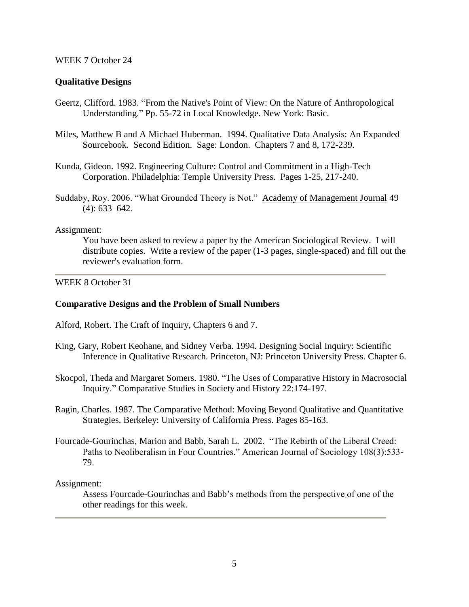### WEEK 7 October 24

# **Qualitative Designs**

- Geertz, Clifford. 1983. "From the Native's Point of View: On the Nature of Anthropological Understanding." Pp. 55-72 in Local Knowledge. New York: Basic.
- Miles, Matthew B and A Michael Huberman. 1994. Qualitative Data Analysis: An Expanded Sourcebook. Second Edition. Sage: London. Chapters 7 and 8, 172-239.
- Kunda, Gideon. 1992. Engineering Culture: Control and Commitment in a High-Tech Corporation. Philadelphia: Temple University Press. Pages 1-25, 217-240.
- Suddaby, Roy. 2006. "What Grounded Theory is Not." Academy of Management Journal 49 (4): 633–642.

### Assignment:

You have been asked to review a paper by the American Sociological Review. I will distribute copies. Write a review of the paper (1-3 pages, single-spaced) and fill out the reviewer's evaluation form.

# WEEK 8 October 31

### **Comparative Designs and the Problem of Small Numbers**

Alford, Robert. The Craft of Inquiry, Chapters 6 and 7.

- King, Gary, Robert Keohane, and Sidney Verba. 1994. Designing Social Inquiry: Scientific Inference in Qualitative Research. Princeton, NJ: Princeton University Press. Chapter 6.
- Skocpol, Theda and Margaret Somers. 1980. "The Uses of Comparative History in Macrosocial Inquiry." Comparative Studies in Society and History 22:174-197.
- Ragin, Charles. 1987. The Comparative Method: Moving Beyond Qualitative and Quantitative Strategies. Berkeley: University of California Press. Pages 85-163.
- Fourcade-Gourinchas, Marion and Babb, Sarah L. 2002. "The Rebirth of the Liberal Creed: Paths to Neoliberalism in Four Countries." American Journal of Sociology 108(3):533- 79.

Assignment:

Assess Fourcade-Gourinchas and Babb's methods from the perspective of one of the other readings for this week.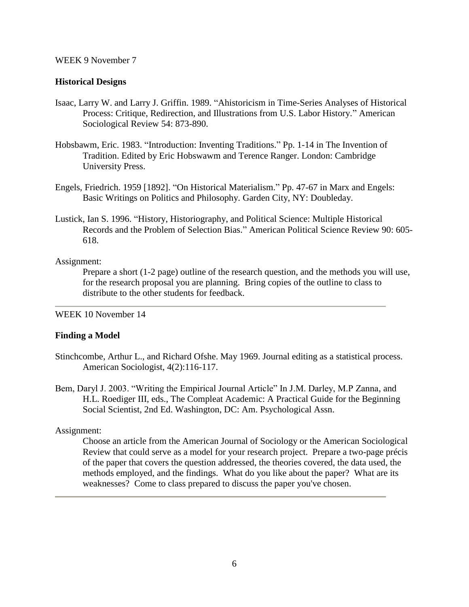### WEEK 9 November 7

### **Historical Designs**

- Isaac, Larry W. and Larry J. Griffin. 1989. "Ahistoricism in Time-Series Analyses of Historical Process: Critique, Redirection, and Illustrations from U.S. Labor History." American Sociological Review 54: 873-890.
- Hobsbawm, Eric. 1983. "Introduction: Inventing Traditions." Pp. 1-14 in The Invention of Tradition. Edited by Eric Hobswawm and Terence Ranger. London: Cambridge University Press.
- Engels, Friedrich. 1959 [1892]. "On Historical Materialism." Pp. 47-67 in Marx and Engels: Basic Writings on Politics and Philosophy. Garden City, NY: Doubleday.
- Lustick, Ian S. 1996. "History, Historiography, and Political Science: Multiple Historical Records and the Problem of Selection Bias." American Political Science Review 90: 605- 618.

### Assignment:

Prepare a short (1-2 page) outline of the research question, and the methods you will use, for the research proposal you are planning. Bring copies of the outline to class to distribute to the other students for feedback.

### WEEK 10 November 14

# **Finding a Model**

- Stinchcombe, Arthur L., and Richard Ofshe. May 1969. Journal editing as a statistical process. American Sociologist, 4(2):116-117.
- Bem, Daryl J. 2003. "Writing the Empirical Journal Article" In J.M. Darley, M.P Zanna, and H.L. Roediger III, eds., The Compleat Academic: A Practical Guide for the Beginning Social Scientist, 2nd Ed. Washington, DC: Am. Psychological Assn.

# Assignment:

Choose an article from the American Journal of Sociology or the American Sociological Review that could serve as a model for your research project. Prepare a two-page précis of the paper that covers the question addressed, the theories covered, the data used, the methods employed, and the findings. What do you like about the paper? What are its weaknesses? Come to class prepared to discuss the paper you've chosen.